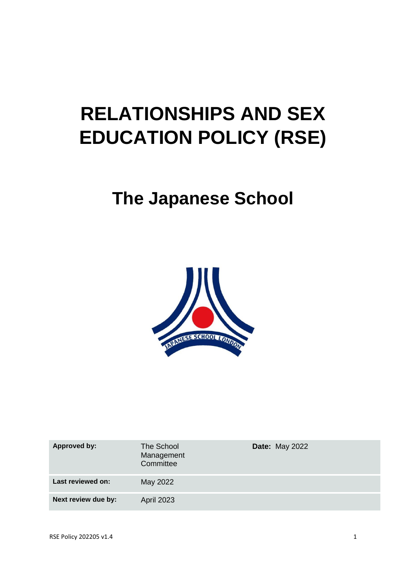# **RELATIONSHIPS AND SEX EDUCATION POLICY (RSE)**

## **The Japanese School**



| <b>Approved by:</b> | The School<br>Management<br>Committee | <b>Date: May 2022</b> |
|---------------------|---------------------------------------|-----------------------|
| Last reviewed on:   | May 2022                              |                       |
| Next review due by: | <b>April 2023</b>                     |                       |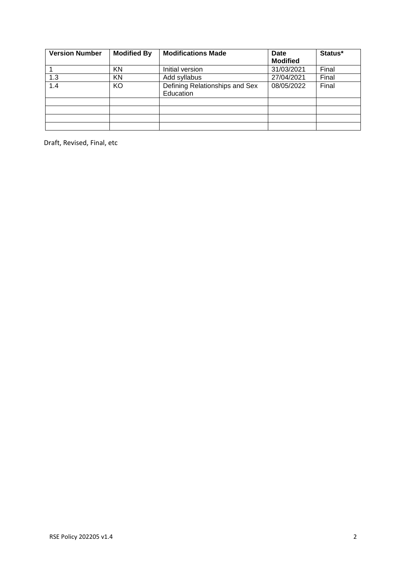| <b>Version Number</b> | <b>Modified By</b> | <b>Modifications Made</b>                   | Date<br><b>Modified</b> | Status* |
|-----------------------|--------------------|---------------------------------------------|-------------------------|---------|
|                       | KN                 | Initial version                             | 31/03/2021              | Final   |
| 1.3                   | <b>KN</b>          | Add syllabus                                | 27/04/2021              | Final   |
| 1.4                   | KO                 | Defining Relationships and Sex<br>Education | 08/05/2022              | Final   |
|                       |                    |                                             |                         |         |
|                       |                    |                                             |                         |         |
|                       |                    |                                             |                         |         |
|                       |                    |                                             |                         |         |

Draft, Revised, Final, etc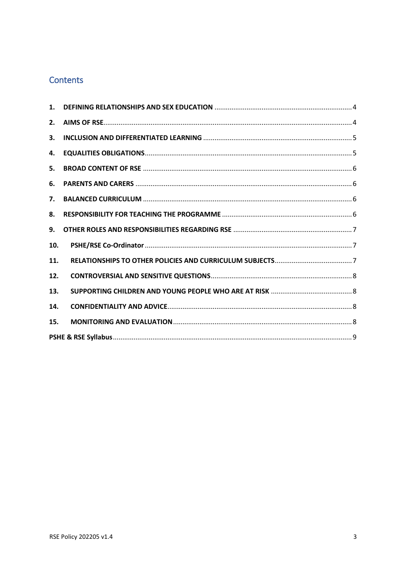## Contents

| 1.  |  |
|-----|--|
| 2.  |  |
| 3.  |  |
| 4.  |  |
| 5.  |  |
| 6.  |  |
| 7.  |  |
| 8.  |  |
| 9.  |  |
| 10. |  |
| 11. |  |
| 12. |  |
| 13. |  |
| 14. |  |
| 15. |  |
|     |  |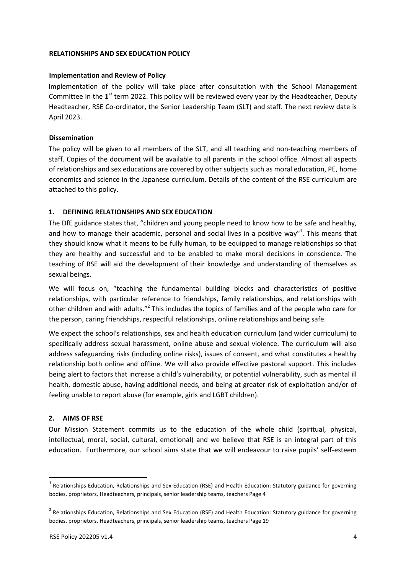#### **RELATIONSHIPS AND SEX EDUCATION POLICY**

#### **Implementation and Review of Policy**

Implementation of the policy will take place after consultation with the School Management Committee in the 1<sup>st</sup> term 2022. This policy will be reviewed every year by the Headteacher, Deputy Headteacher, RSE Co-ordinator, the Senior Leadership Team (SLT) and staff. The next review date is April 2023.

#### **Dissemination**

The policy will be given to all members of the SLT, and all teaching and non-teaching members of staff. Copies of the document will be available to all parents in the school office. Almost all aspects of relationships and sex educations are covered by other subjects such as moral education, PE, home economics and science in the Japanese curriculum. Details of the content of the RSE curriculum are attached to this policy.

#### <span id="page-3-0"></span>**1. DEFINING RELATIONSHIPS AND SEX EDUCATION**

The DfE guidance states that, "children and young people need to know how to be safe and healthy, and how to manage their academic, personal and social lives in a positive way"<sup>1</sup>. This means that they should know what it means to be fully human, to be equipped to manage relationships so that they are healthy and successful and to be enabled to make moral decisions in conscience. The teaching of RSE will aid the development of their knowledge and understanding of themselves as sexual beings.

We will focus on, "teaching the fundamental building blocks and characteristics of positive relationships, with particular reference to friendships, family relationships, and relationships with other children and with adults."<sup>2</sup> This includes the topics of families and of the people who care for the person, caring friendships, respectful relationships, online relationships and being safe.

We expect the school's relationships, sex and health education curriculum (and wider curriculum) to specifically address sexual harassment, online abuse and sexual violence. The curriculum will also address safeguarding risks (including online risks), issues of consent, and what constitutes a healthy relationship both online and offline. We will also provide effective pastoral support. This includes being alert to factors that increase a child's vulnerability, or potential vulnerability, such as mental ill health, domestic abuse, having additional needs, and being at greater risk of exploitation and/or of feeling unable to report abuse (for example, girls and LGBT children).

#### <span id="page-3-1"></span>**2. AIMS OF RSE**

**.** 

Our Mission Statement commits us to the education of the whole child (spiritual, physical, intellectual, moral, social, cultural, emotional) and we believe that RSE is an integral part of this education. Furthermore, our school aims state that we will endeavour to raise pupils' self-esteem

<sup>&</sup>lt;sup>1</sup> Relationships Education, Relationships and Sex Education (RSE) and Health Education: Statutory guidance for governing bodies, proprietors, Headteachers, principals, senior leadership teams, teachers Page 4

<sup>&</sup>lt;sup>2</sup> Relationships Education, Relationships and Sex Education (RSE) and Health Education: Statutory guidance for governing bodies, proprietors, Headteachers, principals, senior leadership teams, teachers Page 19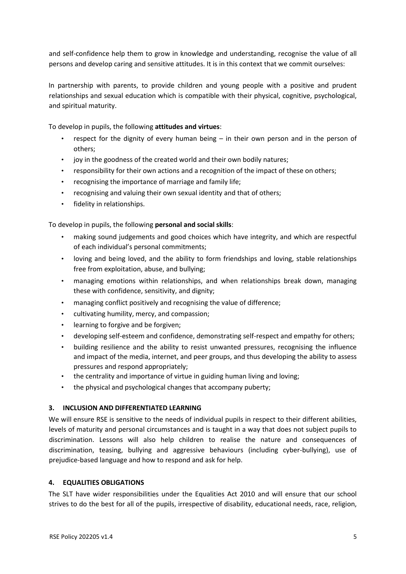and self-confidence help them to grow in knowledge and understanding, recognise the value of all persons and develop caring and sensitive attitudes. It is in this context that we commit ourselves:

In partnership with parents, to provide children and young people with a positive and prudent relationships and sexual education which is compatible with their physical, cognitive, psychological, and spiritual maturity.

To develop in pupils, the following **attitudes and virtues**:

- respect for the dignity of every human being in their own person and in the person of others;
- joy in the goodness of the created world and their own bodily natures;
- responsibility for their own actions and a recognition of the impact of these on others;
- recognising the importance of marriage and family life;
- recognising and valuing their own sexual identity and that of others;
- fidelity in relationships.

To develop in pupils, the following **personal and social skills**:

- making sound judgements and good choices which have integrity, and which are respectful of each individual's personal commitments;
- loving and being loved, and the ability to form friendships and loving, stable relationships free from exploitation, abuse, and bullying;
- managing emotions within relationships, and when relationships break down, managing these with confidence, sensitivity, and dignity;
- managing conflict positively and recognising the value of difference;
- cultivating humility, mercy, and compassion;
- learning to forgive and be forgiven;
- developing self-esteem and confidence, demonstrating self-respect and empathy for others;
- building resilience and the ability to resist unwanted pressures, recognising the influence and impact of the media, internet, and peer groups, and thus developing the ability to assess pressures and respond appropriately;
- the centrality and importance of virtue in guiding human living and loving;
- the physical and psychological changes that accompany puberty;

#### <span id="page-4-0"></span>**3. INCLUSION AND DIFFERENTIATED LEARNING**

We will ensure RSE is sensitive to the needs of individual pupils in respect to their different abilities, levels of maturity and personal circumstances and is taught in a way that does not subject pupils to discrimination. Lessons will also help children to realise the nature and consequences of discrimination, teasing, bullying and aggressive behaviours (including cyber-bullying), use of prejudice-based language and how to respond and ask for help.

#### <span id="page-4-1"></span>**4. EQUALITIES OBLIGATIONS**

The SLT have wider responsibilities under the Equalities Act 2010 and will ensure that our school strives to do the best for all of the pupils, irrespective of disability, educational needs, race, religion,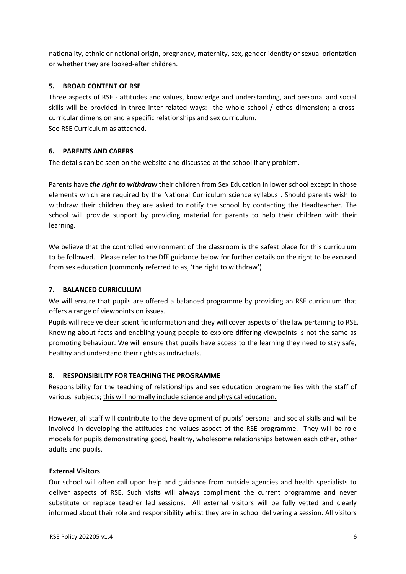nationality, ethnic or national origin, pregnancy, maternity, sex, gender identity or sexual orientation or whether they are looked-after children.

#### <span id="page-5-0"></span>**5. BROAD CONTENT OF RSE**

Three aspects of RSE - attitudes and values, knowledge and understanding, and personal and social skills will be provided in three inter-related ways: the whole school / ethos dimension; a crosscurricular dimension and a specific relationships and sex curriculum. See RSE Curriculum as attached.

#### <span id="page-5-1"></span>**6. PARENTS AND CARERS**

The details can be seen on the website and discussed at the school if any problem.

Parents have *the right to withdraw* their children from Sex Education in lower school except in those elements which are required by the National Curriculum science syllabus . Should parents wish to withdraw their children they are asked to notify the school by contacting the Headteacher. The school will provide support by providing material for parents to help their children with their learning.

We believe that the controlled environment of the classroom is the safest place for this curriculum to be followed. Please refer to the DfE guidance below for further details on the right to be excused from sex education (commonly referred to as, 'the right to withdraw').

#### <span id="page-5-2"></span>**7. BALANCED CURRICULUM**

We will ensure that pupils are offered a balanced programme by providing an RSE curriculum that offers a range of viewpoints on issues.

Pupils will receive clear scientific information and they will cover aspects of the law pertaining to RSE. Knowing about facts and enabling young people to explore differing viewpoints is not the same as promoting behaviour. We will ensure that pupils have access to the learning they need to stay safe, healthy and understand their rights as individuals.

#### <span id="page-5-3"></span>**8. RESPONSIBILITY FOR TEACHING THE PROGRAMME**

Responsibility for the teaching of relationships and sex education programme lies with the staff of various subjects; this will normally include science and physical education.

However, all staff will contribute to the development of pupils' personal and social skills and will be involved in developing the attitudes and values aspect of the RSE programme. They will be role models for pupils demonstrating good, healthy, wholesome relationships between each other, other adults and pupils.

#### **External Visitors**

Our school will often call upon help and guidance from outside agencies and health specialists to deliver aspects of RSE. Such visits will always compliment the current programme and never substitute or replace teacher led sessions. All external visitors will be fully vetted and clearly informed about their role and responsibility whilst they are in school delivering a session. All visitors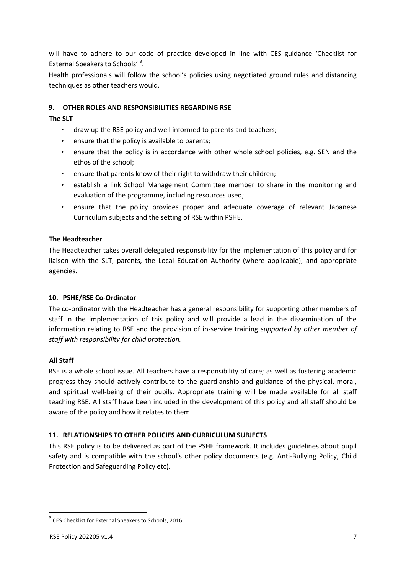will have to adhere to our code of practice developed in line with CES guidance 'Checklist for External Speakers to Schools'<sup>3</sup>.

Health professionals will follow the school's policies using negotiated ground rules and distancing techniques as other teachers would.

#### <span id="page-6-0"></span>**9. OTHER ROLES AND RESPONSIBILITIES REGARDING RSE**

#### **The SLT**

- draw up the RSE policy and well informed to parents and teachers;
- ensure that the policy is available to parents;
- ensure that the policy is in accordance with other whole school policies, e.g. SEN and the ethos of the school;
- ensure that parents know of their right to withdraw their children;
- establish a link School Management Committee member to share in the monitoring and evaluation of the programme, including resources used;
- ensure that the policy provides proper and adequate coverage of relevant Japanese Curriculum subjects and the setting of RSE within PSHE.

#### **The Headteacher**

The Headteacher takes overall delegated responsibility for the implementation of this policy and for liaison with the SLT, parents, the Local Education Authority (where applicable), and appropriate agencies.

#### <span id="page-6-1"></span>**10. PSHE/RSE Co-Ordinator**

The co-ordinator with the Headteacher has a general responsibility for supporting other members of staff in the implementation of this policy and will provide a lead in the dissemination of the information relating to RSE and the provision of in-service training s*upported by other member of staff with responsibility for child protection.* 

#### **All Staff**

RSE is a whole school issue. All teachers have a responsibility of care; as well as fostering academic progress they should actively contribute to the guardianship and guidance of the physical, moral, and spiritual well-being of their pupils. Appropriate training will be made available for all staff teaching RSE. All staff have been included in the development of this policy and all staff should be aware of the policy and how it relates to them.

#### <span id="page-6-2"></span>**11. RELATIONSHIPS TO OTHER POLICIES AND CURRICULUM SUBJECTS**

This RSE policy is to be delivered as part of the PSHE framework. It includes guidelines about pupil safety and is compatible with the school's other policy documents (e.g. Anti-Bullying Policy, Child Protection and Safeguarding Policy etc).

**.** 

<sup>&</sup>lt;sup>3</sup> CES Checklist for External Speakers to Schools, 2016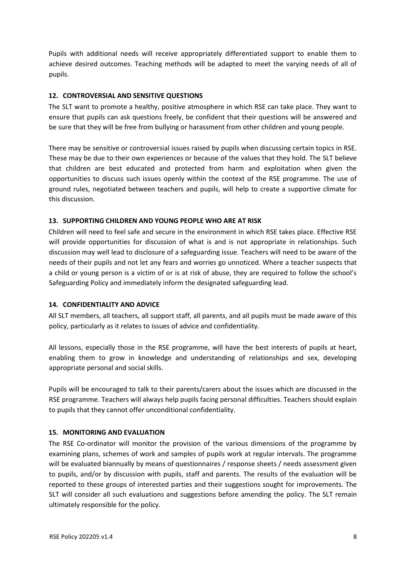Pupils with additional needs will receive appropriately differentiated support to enable them to achieve desired outcomes. Teaching methods will be adapted to meet the varying needs of all of pupils.

#### <span id="page-7-0"></span>**12. CONTROVERSIAL AND SENSITIVE QUESTIONS**

The SLT want to promote a healthy, positive atmosphere in which RSE can take place. They want to ensure that pupils can ask questions freely, be confident that their questions will be answered and be sure that they will be free from bullying or harassment from other children and young people.

There may be sensitive or controversial issues raised by pupils when discussing certain topics in RSE. These may be due to their own experiences or because of the values that they hold. The SLT believe that children are best educated and protected from harm and exploitation when given the opportunities to discuss such issues openly within the context of the RSE programme. The use of ground rules, negotiated between teachers and pupils, will help to create a supportive climate for this discussion.

#### <span id="page-7-1"></span>**13. SUPPORTING CHILDREN AND YOUNG PEOPLE WHO ARE AT RISK**

Children will need to feel safe and secure in the environment in which RSE takes place. Effective RSE will provide opportunities for discussion of what is and is not appropriate in relationships. Such discussion may well lead to disclosure of a safeguarding issue. Teachers will need to be aware of the needs of their pupils and not let any fears and worries go unnoticed. Where a teacher suspects that a child or young person is a victim of or is at risk of abuse, they are required to follow the school's Safeguarding Policy and immediately inform the designated safeguarding lead.

#### <span id="page-7-2"></span>**14. CONFIDENTIALITY AND ADVICE**

All SLT members, all teachers, all support staff, all parents, and all pupils must be made aware of this policy, particularly as it relates to issues of advice and confidentiality.

All lessons, especially those in the RSE programme, will have the best interests of pupils at heart, enabling them to grow in knowledge and understanding of relationships and sex, developing appropriate personal and social skills.

Pupils will be encouraged to talk to their parents/carers about the issues which are discussed in the RSE programme. Teachers will always help pupils facing personal difficulties. Teachers should explain to pupils that they cannot offer unconditional confidentiality.

#### <span id="page-7-3"></span>**15. MONITORING AND EVALUATION**

The RSE Co-ordinator will monitor the provision of the various dimensions of the programme by examining plans, schemes of work and samples of pupils work at regular intervals. The programme will be evaluated biannually by means of questionnaires / response sheets / needs assessment given to pupils, and/or by discussion with pupils, staff and parents. The results of the evaluation will be reported to these groups of interested parties and their suggestions sought for improvements. The SLT will consider all such evaluations and suggestions before amending the policy. The SLT remain ultimately responsible for the policy.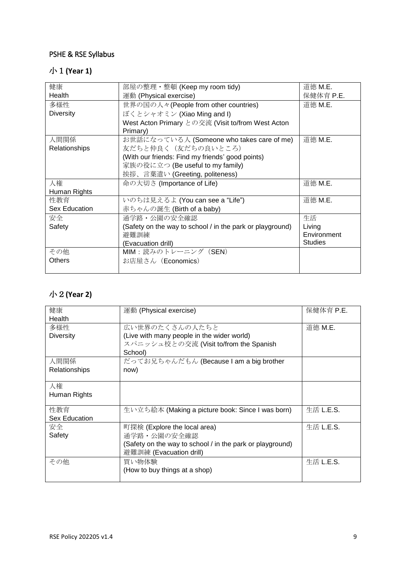## <span id="page-8-0"></span>PSHE & RSE Syllabus

## 小1**(Year 1)**

| 健康               | 部屋の整理・整頓 (Keep my room tidy)                              | 道徳 M.E.        |
|------------------|-----------------------------------------------------------|----------------|
| Health           | 運動 (Physical exercise)                                    | 保健体育 P.E.      |
| 多様性              | 世界の国の人々(People from other countries)                      | 道徳 M.E.        |
| <b>Diversity</b> | ぼくとシャオミン (Xiao Ming and I)                                |                |
|                  | West Acton Primary との交流 (Visit to/from West Acton         |                |
|                  | Primary)                                                  |                |
| 人間関係             | お世話になっている人 (Someone who takes care of me)                 | 道徳 M.E.        |
| Relationships    | 友だちと仲良く (友だちの良いところ)                                       |                |
|                  | (With our friends: Find my friends' good points)          |                |
|                  | 家族の役に立つ (Be useful to my family)                          |                |
|                  | 挨拶、言葉遣い (Greeting, politeness)                            |                |
| 人権               | 命の大切さ (Importance of Life)                                | 道徳 M.E.        |
| Human Rights     |                                                           |                |
| 性教育              | いのちは見えるよ (You can see a "Life")                           | 道徳 M.E.        |
| Sex Education    | 赤ちゃんの誕生 (Birth of a baby)                                 |                |
| 安全               | 通学路・公園の安全確認                                               | 生活             |
| Safety           | (Safety on the way to school / in the park or playground) | Living         |
|                  | 避難訓練                                                      | Environment    |
|                  | (Evacuation drill)                                        | <b>Studies</b> |
| その他              | MIM:読みのトレーニング (SEN)                                       |                |
| <b>Others</b>    | お店屋さん (Economics)                                         |                |
|                  |                                                           |                |

## 小2**(Year 2)**

| 健康               | 運動 (Physical exercise)                                    | 保健体育 P.E. |
|------------------|-----------------------------------------------------------|-----------|
| Health           |                                                           |           |
| 多様性              | 広い世界のたくさんの人たちと                                            | 道徳 M.E.   |
| <b>Diversity</b> | (Live with many people in the wider world)                |           |
|                  | スパニッシュ校との交流 (Visit to/from the Spanish                    |           |
|                  | School)                                                   |           |
| 人間関係             | だってお兄ちゃんだもん (Because I am a big brother                   |           |
| Relationships    | now)                                                      |           |
|                  |                                                           |           |
| 人権               |                                                           |           |
| Human Rights     |                                                           |           |
|                  |                                                           |           |
| 性教育              | 生い立ち絵本 (Making a picture book: Since I was born)          | 生活 L.E.S. |
| Sex Education    |                                                           |           |
| 安全               | 町探検 (Explore the local area)                              | 生活 L.E.S. |
| Safety           | 通学路・公園の安全確認                                               |           |
|                  | (Safety on the way to school / in the park or playground) |           |
|                  | 避難訓練 (Evacuation drill)                                   |           |
| その他              | 買い物体験                                                     | 生活 L.E.S. |
|                  | (How to buy things at a shop)                             |           |
|                  |                                                           |           |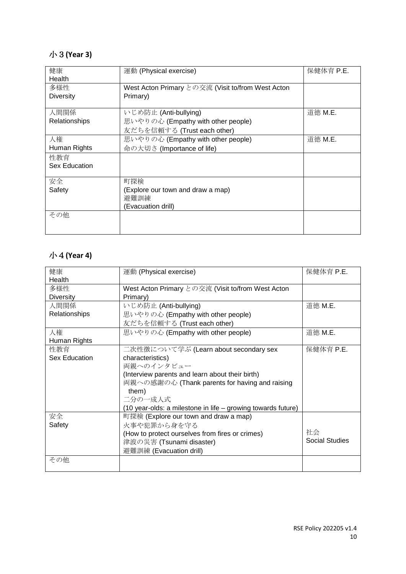## 小3**(Year 3)**

| 健康                   | 運動 (Physical exercise)                            | 保健体育 P.E. |
|----------------------|---------------------------------------------------|-----------|
| Health               |                                                   |           |
| 多様性                  | West Acton Primary との交流 (Visit to/from West Acton |           |
| Diversity            | Primary)                                          |           |
|                      |                                                   |           |
| 人間関係                 | いじめ防止 (Anti-bullying)                             | 道徳 M.E.   |
| Relationships        | 思いやりの心 (Empathy with other people)                |           |
|                      | 友だちを信頼する (Trust each other)                       |           |
| 人権                   | 思いやりの心 (Empathy with other people)                | 道徳 M.E.   |
| Human Rights         | 命の大切さ (Importance of life)                        |           |
| 性教育                  |                                                   |           |
| <b>Sex Education</b> |                                                   |           |
|                      |                                                   |           |
| 安全                   | 町探検                                               |           |
| Safety               | (Explore our town and draw a map)                 |           |
|                      | 避難訓練                                              |           |
|                      | (Evacuation drill)                                |           |
| その他                  |                                                   |           |
|                      |                                                   |           |
|                      |                                                   |           |

## 小4**(Year 4)**

| 健康               | 運動 (Physical exercise)                                       | 保健体育 P.E.      |
|------------------|--------------------------------------------------------------|----------------|
| Health           |                                                              |                |
| 多様性              | West Acton Primary との交流 (Visit to/from West Acton            |                |
| <b>Diversity</b> | Primary)                                                     |                |
| 人間関係             | いじめ防止 (Anti-bullying)                                        | 道徳 M.E.        |
| Relationships    | 思いやりの心 (Empathy with other people)                           |                |
|                  | 友だちを信頼する (Trust each other)                                  |                |
| 人権               | 思いやりの心 (Empathy with other people)                           | 道徳 M.E.        |
| Human Rights     |                                                              |                |
| 性教育              | 二次性徴について学ぶ (Learn about secondary sex                        | 保健体育 P.E.      |
| Sex Education    | characteristics)                                             |                |
|                  | 両親へのインタビュー                                                   |                |
|                  | (Interview parents and learn about their birth)              |                |
|                  | 両親への感謝の心 (Thank parents for having and raising               |                |
|                  | them)                                                        |                |
|                  | 二分の一成人式                                                      |                |
|                  | (10 year-olds: a milestone in life - growing towards future) |                |
| 安全               | 町探検 (Explore our town and draw a map)                        |                |
| Safety           | 火事や犯罪から身を守る                                                  |                |
|                  | (How to protect ourselves from fires or crimes)              | 社会             |
|                  | 津波の災害 (Tsunami disaster)                                     | Social Studies |
|                  | 避難訓練 (Evacuation drill)                                      |                |
| その他              |                                                              |                |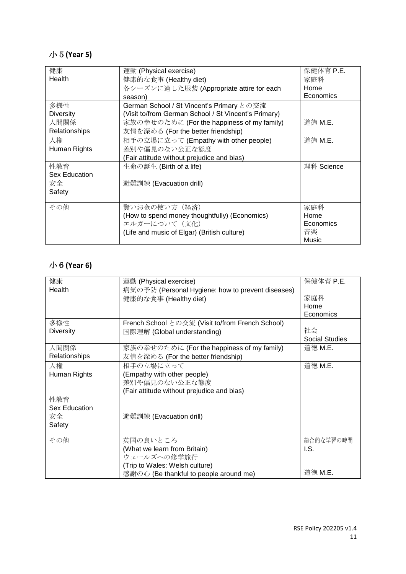## 小5**(Year 5)**

| 健康                   | 運動 (Physical exercise)                               | 保健体育 P.E.  |
|----------------------|------------------------------------------------------|------------|
| Health               | 健康的な食事 (Healthy diet)                                | 家庭科        |
|                      | 各シーズンに適した服装 (Appropriate attire for each             | Home       |
|                      | season)                                              | Economics  |
| 多様性                  | German School / St Vincent's Primary との交流            |            |
| <b>Diversity</b>     | (Visit to/from German School / St Vincent's Primary) |            |
| 人間関係                 | 家族の幸せのために (For the happiness of my family)           | 道徳 M.E.    |
| Relationships        | 友情を深める (For the better friendship)                   |            |
| 人権                   | 相手の立場に立って (Empathy with other people)                | 道徳 M.E.    |
| Human Rights         | 差別や偏見のない公正な態度                                        |            |
|                      | (Fair attitude without prejudice and bias)           |            |
| 性教育                  | 生命の誕生 (Birth of a life)                              | 理科 Science |
| <b>Sex Education</b> |                                                      |            |
| 安全                   | 避難訓練 (Evacuation drill)                              |            |
| Safety               |                                                      |            |
|                      |                                                      |            |
| その他                  | 賢いお金の使い方(経済)                                         | 家庭科        |
|                      | (How to spend money thoughtfully) (Economics)        | Home       |
|                      | エルガーについて(文化)                                         | Economics  |
|                      | (Life and music of Elgar) (British culture)          | 音楽         |
|                      |                                                      | Music      |

## 小6**(Year 6)**

| 健康<br>保健体育 P.E.<br>運動 (Physical exercise)<br>Health<br>病気の予防 (Personal Hygiene: how to prevent diseases)<br>家庭科<br>健康的な食事 (Healthy diet)<br>Home<br>Economics<br>多様性<br>French School との交流 (Visit to/from French School)<br>社会<br><b>Diversity</b><br>国際理解 (Global understanding)<br>Social Studies<br>人間関係<br>道徳 M.E.<br>家族の幸せのために (For the happiness of my family)<br>Relationships<br>友情を深める (For the better friendship)<br>相手の立場に立って<br>道徳 M.E.<br>人権<br>(Empathy with other people)<br>Human Rights<br>差別や偏見のない公正な態度<br>(Fair attitude without prejudice and bias)<br>性教育<br><b>Sex Education</b><br>安全<br>避難訓練 (Evacuation drill) |        |  |
|-----------------------------------------------------------------------------------------------------------------------------------------------------------------------------------------------------------------------------------------------------------------------------------------------------------------------------------------------------------------------------------------------------------------------------------------------------------------------------------------------------------------------------------------------------------------------------------------------------------------------------------------|--------|--|
|                                                                                                                                                                                                                                                                                                                                                                                                                                                                                                                                                                                                                                         |        |  |
|                                                                                                                                                                                                                                                                                                                                                                                                                                                                                                                                                                                                                                         |        |  |
|                                                                                                                                                                                                                                                                                                                                                                                                                                                                                                                                                                                                                                         |        |  |
|                                                                                                                                                                                                                                                                                                                                                                                                                                                                                                                                                                                                                                         |        |  |
|                                                                                                                                                                                                                                                                                                                                                                                                                                                                                                                                                                                                                                         |        |  |
|                                                                                                                                                                                                                                                                                                                                                                                                                                                                                                                                                                                                                                         |        |  |
|                                                                                                                                                                                                                                                                                                                                                                                                                                                                                                                                                                                                                                         |        |  |
|                                                                                                                                                                                                                                                                                                                                                                                                                                                                                                                                                                                                                                         |        |  |
|                                                                                                                                                                                                                                                                                                                                                                                                                                                                                                                                                                                                                                         |        |  |
|                                                                                                                                                                                                                                                                                                                                                                                                                                                                                                                                                                                                                                         |        |  |
|                                                                                                                                                                                                                                                                                                                                                                                                                                                                                                                                                                                                                                         |        |  |
|                                                                                                                                                                                                                                                                                                                                                                                                                                                                                                                                                                                                                                         |        |  |
|                                                                                                                                                                                                                                                                                                                                                                                                                                                                                                                                                                                                                                         |        |  |
|                                                                                                                                                                                                                                                                                                                                                                                                                                                                                                                                                                                                                                         |        |  |
|                                                                                                                                                                                                                                                                                                                                                                                                                                                                                                                                                                                                                                         |        |  |
|                                                                                                                                                                                                                                                                                                                                                                                                                                                                                                                                                                                                                                         |        |  |
|                                                                                                                                                                                                                                                                                                                                                                                                                                                                                                                                                                                                                                         |        |  |
|                                                                                                                                                                                                                                                                                                                                                                                                                                                                                                                                                                                                                                         | Safety |  |
|                                                                                                                                                                                                                                                                                                                                                                                                                                                                                                                                                                                                                                         |        |  |
| 英国の良いところ<br>その他<br>総合的な学習の時間                                                                                                                                                                                                                                                                                                                                                                                                                                                                                                                                                                                                            |        |  |
| (What we learn from Britain)<br>I.S.                                                                                                                                                                                                                                                                                                                                                                                                                                                                                                                                                                                                    |        |  |
| ウェールズへの修学旅行                                                                                                                                                                                                                                                                                                                                                                                                                                                                                                                                                                                                                             |        |  |
| (Trip to Wales: Welsh culture)                                                                                                                                                                                                                                                                                                                                                                                                                                                                                                                                                                                                          |        |  |
| 道徳 M.E.<br>感謝の心 (Be thankful to people around me)                                                                                                                                                                                                                                                                                                                                                                                                                                                                                                                                                                                       |        |  |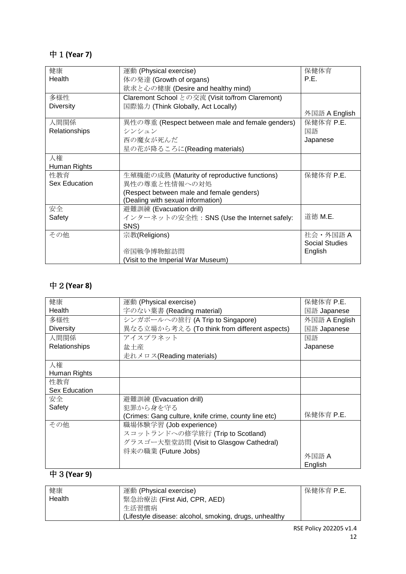## 中1**(Year 7)**

| 健康               | 運動 (Physical exercise)                          | 保健体育                  |
|------------------|-------------------------------------------------|-----------------------|
| Health           | 体の発達 (Growth of organs)                         | P.E.                  |
|                  | 欲求と心の健康 (Desire and healthy mind)               |                       |
| 多様性              | Claremont School との交流 (Visit to/from Claremont) |                       |
| <b>Diversity</b> | 国際協力 (Think Globally, Act Locally)              |                       |
|                  |                                                 | 外国語 A English         |
| 人間関係             | 異性の尊重 (Respect between male and female genders) | 保健体育 P.E.             |
| Relationships    | シンシュン                                           | 国語                    |
|                  | 西の魔女が死んだ                                        | Japanese              |
|                  | 星の花が降るころに(Reading materials)                    |                       |
| 人権               |                                                 |                       |
| Human Rights     |                                                 |                       |
| 性教育              | 生殖機能の成熟 (Maturity of reproductive functions)    | 保健体育 P.E.             |
| Sex Education    | 異性の尊重と性情報への対処                                   |                       |
|                  | (Respect between male and female genders)       |                       |
|                  | (Dealing with sexual information)               |                       |
| 安全               | 避難訓練 (Evacuation drill)                         |                       |
| Safety           | インターネットの安全性: SNS (Use the Internet safely:      | 道徳 M.E.               |
|                  | SNS)                                            |                       |
| その他              | 宗教(Religions)                                   | 社会·外国語A               |
|                  |                                                 | <b>Social Studies</b> |
|                  | 帝国戦争博物館訪問                                       | English               |
|                  | (Visit to the Imperial War Museum)              |                       |

## 中2**(Year 8)**

| 健康                   | 運動 (Physical exercise)                               | 保健体育 P.E.     |
|----------------------|------------------------------------------------------|---------------|
| Health               | 字のない葉書 (Reading material)                            | 国語 Japanese   |
| 多様性                  | シンガポールへの旅行 (A Trip to Singapore)                     | 外国語 A English |
| <b>Diversity</b>     | 異なる立場から考える (To think from different aspects)         | 国語 Japanese   |
| 人間関係                 | アイスプラネット                                             | 国語            |
| Relationships        | 盆土産                                                  | Japanese      |
|                      | 走れメロス(Reading materials)                             |               |
| 人権                   |                                                      |               |
| Human Rights         |                                                      |               |
| 性教育                  |                                                      |               |
| <b>Sex Education</b> |                                                      |               |
| 安全                   | 避難訓練 (Evacuation drill)                              |               |
| Safety               | 犯罪から身を守る                                             |               |
|                      | (Crimes: Gang culture, knife crime, county line etc) | 保健体育 P.E.     |
| その他                  | 職場体験学習 (Job experience)                              |               |
|                      | スコットランドへの修学旅行 (Trip to Scotland)                     |               |
|                      | グラスゴー大聖堂訪問 (Visit to Glasgow Cathedral)              |               |
|                      | 将来の職業 (Future Jobs)                                  |               |
|                      |                                                      | 外国語 A         |
|                      |                                                      | English       |

## 中3**(Year 9)**

| 健康     | 運動 (Physical exercise)                                 | 保健体育 P.E. |
|--------|--------------------------------------------------------|-----------|
| Health | 緊急治療法 (First Aid, CPR, AED)                            |           |
|        | 生活習慣病                                                  |           |
|        | (Lifestyle disease: alcohol, smoking, drugs, unhealthy |           |